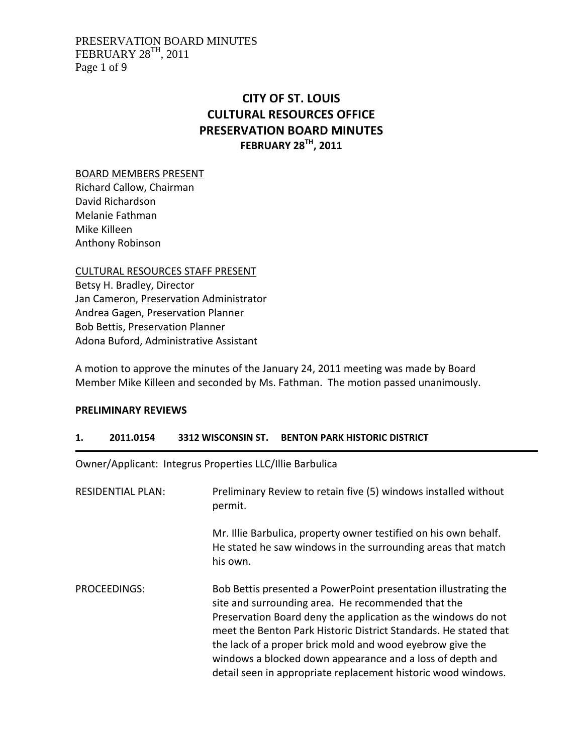## PRESERVATION BOARD MINUTES FEBRUARY  $28^{TH}$ , 2011 Page 1 of 9

# **CITY OF ST. LOUIS CULTURAL RESOURCES OFFICE PRESERVATION BOARD MINUTES FEBRUARY 28TH, 2011**

BOARD MEMBERS PRESENT

Richard Callow, Chairman David Richardson Melanie Fathman Mike Killeen Anthony Robinson

CULTURAL RESOURCES STAFF PRESENT Betsy H. Bradley, Director Jan Cameron, Preservation Administrator Andrea Gagen, Preservation Planner Bob Bettis, Preservation Planner Adona Buford, Administrative Assistant

A motion to approve the minutes of the January 24, 2011 meeting was made by Board Member Mike Killeen and seconded by Ms. Fathman. The motion passed unanimously.

# **PRELIMINARY REVIEWS**

# **1. 2011.0154 3312 WISCONSIN ST. BENTON PARK HISTORIC DISTRICT**

Owner/Applicant: Integrus Properties LLC/Illie Barbulica

| <b>RESIDENTIAL PLAN:</b> | Preliminary Review to retain five (5) windows installed without<br>permit.                                                                                                                                                                                                                                                                                                                                                                            |
|--------------------------|-------------------------------------------------------------------------------------------------------------------------------------------------------------------------------------------------------------------------------------------------------------------------------------------------------------------------------------------------------------------------------------------------------------------------------------------------------|
|                          | Mr. Illie Barbulica, property owner testified on his own behalf.<br>He stated he saw windows in the surrounding areas that match<br>his own.                                                                                                                                                                                                                                                                                                          |
| PROCEEDINGS:             | Bob Bettis presented a PowerPoint presentation illustrating the<br>site and surrounding area. He recommended that the<br>Preservation Board deny the application as the windows do not<br>meet the Benton Park Historic District Standards. He stated that<br>the lack of a proper brick mold and wood eyebrow give the<br>windows a blocked down appearance and a loss of depth and<br>detail seen in appropriate replacement historic wood windows. |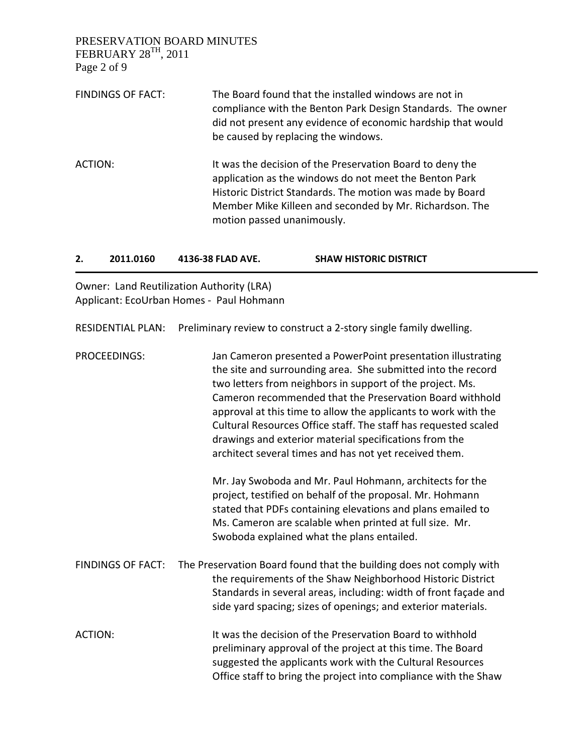PRESERVATION BOARD MINUTES FEBRUARY 28TH, 2011 Page 2 of 9 FINDINGS OF FACT: The Board found that the installed windows are not in compliance with the Benton Park Design Standards. The owner did not present any evidence of economic hardship that would be caused by replacing the windows. ACTION: It was the decision of the Preservation Board to deny the application as the windows do not meet the Benton Park Historic District Standards. The motion was made by Board Member Mike Killeen and seconded by Mr. Richardson. The motion passed unanimously.

| 2.             | 2011.0160                | 4136-38 FLAD AVE.                                                                     | <b>SHAW HISTORIC DISTRICT</b>                                                                                                                                                                                                                                                                                                                                                                                                                                                                                                                                              |
|----------------|--------------------------|---------------------------------------------------------------------------------------|----------------------------------------------------------------------------------------------------------------------------------------------------------------------------------------------------------------------------------------------------------------------------------------------------------------------------------------------------------------------------------------------------------------------------------------------------------------------------------------------------------------------------------------------------------------------------|
|                |                          | Owner: Land Reutilization Authority (LRA)<br>Applicant: EcoUrban Homes - Paul Hohmann |                                                                                                                                                                                                                                                                                                                                                                                                                                                                                                                                                                            |
|                | <b>RESIDENTIAL PLAN:</b> |                                                                                       | Preliminary review to construct a 2-story single family dwelling.                                                                                                                                                                                                                                                                                                                                                                                                                                                                                                          |
|                | PROCEEDINGS:             |                                                                                       | Jan Cameron presented a PowerPoint presentation illustrating<br>the site and surrounding area. She submitted into the record<br>two letters from neighbors in support of the project. Ms.<br>Cameron recommended that the Preservation Board withhold<br>approval at this time to allow the applicants to work with the<br>Cultural Resources Office staff. The staff has requested scaled<br>drawings and exterior material specifications from the<br>architect several times and has not yet received them.<br>Mr. Jay Swoboda and Mr. Paul Hohmann, architects for the |
|                |                          |                                                                                       | project, testified on behalf of the proposal. Mr. Hohmann<br>stated that PDFs containing elevations and plans emailed to<br>Ms. Cameron are scalable when printed at full size. Mr.<br>Swoboda explained what the plans entailed.                                                                                                                                                                                                                                                                                                                                          |
|                | <b>FINDINGS OF FACT:</b> |                                                                                       | The Preservation Board found that the building does not comply with<br>the requirements of the Shaw Neighborhood Historic District<br>Standards in several areas, including: width of front façade and<br>side yard spacing; sizes of openings; and exterior materials.                                                                                                                                                                                                                                                                                                    |
| <b>ACTION:</b> |                          |                                                                                       | It was the decision of the Preservation Board to withhold<br>preliminary approval of the project at this time. The Board<br>suggested the applicants work with the Cultural Resources                                                                                                                                                                                                                                                                                                                                                                                      |

Office staff to bring the project into compliance with the Shaw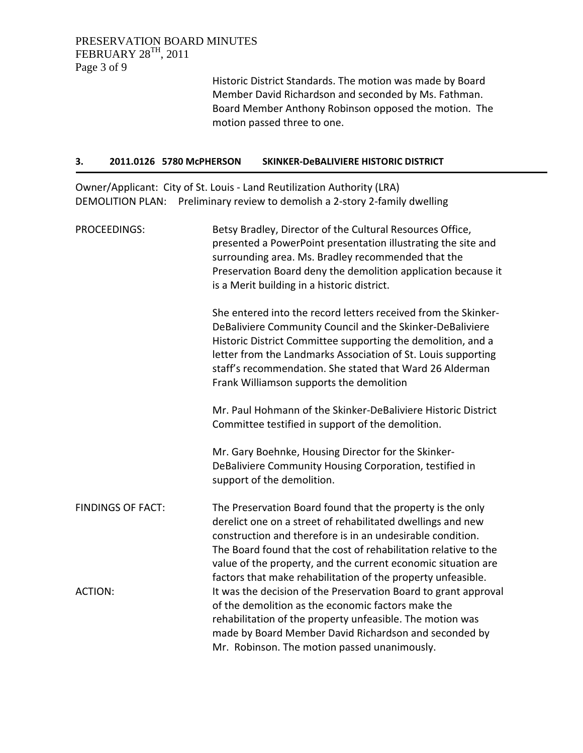# PRESERVATION BOARD MINUTES FEBRUARY 28TH, 2011 Page 3 of 9

Historic District Standards. The motion was made by Board Member David Richardson and seconded by Ms. Fathman. Board Member Anthony Robinson opposed the motion. The motion passed three to one.

### **3. 2011.0126 5780 McPHERSON SKINKER‐DeBALIVIERE HISTORIC DISTRICT**

Owner/Applicant: City of St. Louis ‐ Land Reutilization Authority (LRA) DEMOLITION PLAN: Preliminary review to demolish a 2-story 2-family dwelling

| PROCEEDINGS:             | Betsy Bradley, Director of the Cultural Resources Office,<br>presented a PowerPoint presentation illustrating the site and<br>surrounding area. Ms. Bradley recommended that the<br>Preservation Board deny the demolition application because it<br>is a Merit building in a historic district.                                                                                            |
|--------------------------|---------------------------------------------------------------------------------------------------------------------------------------------------------------------------------------------------------------------------------------------------------------------------------------------------------------------------------------------------------------------------------------------|
|                          | She entered into the record letters received from the Skinker-<br>DeBaliviere Community Council and the Skinker-DeBaliviere<br>Historic District Committee supporting the demolition, and a<br>letter from the Landmarks Association of St. Louis supporting<br>staff's recommendation. She stated that Ward 26 Alderman<br>Frank Williamson supports the demolition                        |
|                          | Mr. Paul Hohmann of the Skinker-DeBaliviere Historic District<br>Committee testified in support of the demolition.                                                                                                                                                                                                                                                                          |
|                          | Mr. Gary Boehnke, Housing Director for the Skinker-<br>DeBaliviere Community Housing Corporation, testified in<br>support of the demolition.                                                                                                                                                                                                                                                |
| <b>FINDINGS OF FACT:</b> | The Preservation Board found that the property is the only<br>derelict one on a street of rehabilitated dwellings and new<br>construction and therefore is in an undesirable condition.<br>The Board found that the cost of rehabilitation relative to the<br>value of the property, and the current economic situation are<br>factors that make rehabilitation of the property unfeasible. |
| <b>ACTION:</b>           | It was the decision of the Preservation Board to grant approval<br>of the demolition as the economic factors make the<br>rehabilitation of the property unfeasible. The motion was<br>made by Board Member David Richardson and seconded by<br>Mr. Robinson. The motion passed unanimously.                                                                                                 |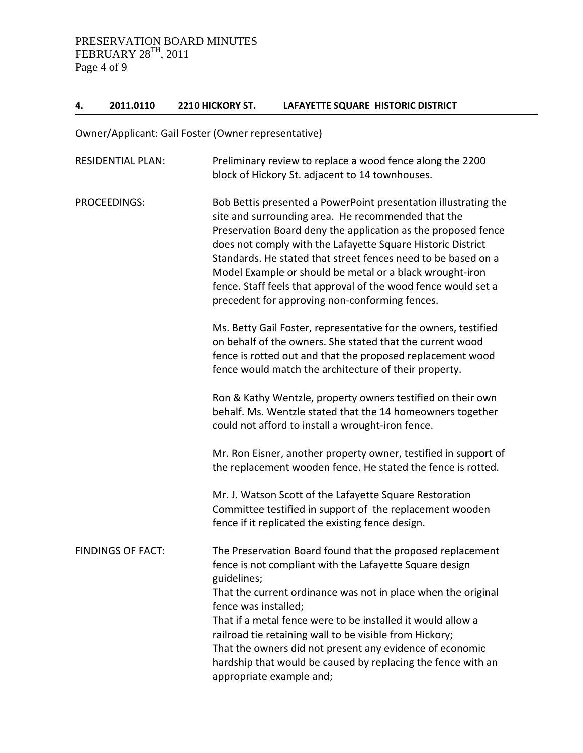# **4. 2011.0110 2210 HICKORY ST. LAFAYETTE SQUARE HISTORIC DISTRICT**

Owner/Applicant: Gail Foster (Owner representative)

| <b>RESIDENTIAL PLAN:</b> | Preliminary review to replace a wood fence along the 2200<br>block of Hickory St. adjacent to 14 townhouses.                                                                                                                                                                                                                                                                                                                                                                                           |
|--------------------------|--------------------------------------------------------------------------------------------------------------------------------------------------------------------------------------------------------------------------------------------------------------------------------------------------------------------------------------------------------------------------------------------------------------------------------------------------------------------------------------------------------|
| <b>PROCEEDINGS:</b>      | Bob Bettis presented a PowerPoint presentation illustrating the<br>site and surrounding area. He recommended that the<br>Preservation Board deny the application as the proposed fence<br>does not comply with the Lafayette Square Historic District<br>Standards. He stated that street fences need to be based on a<br>Model Example or should be metal or a black wrought-iron<br>fence. Staff feels that approval of the wood fence would set a<br>precedent for approving non-conforming fences. |
|                          | Ms. Betty Gail Foster, representative for the owners, testified<br>on behalf of the owners. She stated that the current wood<br>fence is rotted out and that the proposed replacement wood<br>fence would match the architecture of their property.                                                                                                                                                                                                                                                    |
|                          | Ron & Kathy Wentzle, property owners testified on their own<br>behalf. Ms. Wentzle stated that the 14 homeowners together<br>could not afford to install a wrought-iron fence.                                                                                                                                                                                                                                                                                                                         |
|                          | Mr. Ron Eisner, another property owner, testified in support of<br>the replacement wooden fence. He stated the fence is rotted.                                                                                                                                                                                                                                                                                                                                                                        |
|                          | Mr. J. Watson Scott of the Lafayette Square Restoration<br>Committee testified in support of the replacement wooden<br>fence if it replicated the existing fence design.                                                                                                                                                                                                                                                                                                                               |
| <b>FINDINGS OF FACT:</b> | The Preservation Board found that the proposed replacement<br>fence is not compliant with the Lafayette Square design<br>guidelines;                                                                                                                                                                                                                                                                                                                                                                   |
|                          | That the current ordinance was not in place when the original<br>fence was installed;                                                                                                                                                                                                                                                                                                                                                                                                                  |
|                          | That if a metal fence were to be installed it would allow a<br>railroad tie retaining wall to be visible from Hickory;<br>That the owners did not present any evidence of economic                                                                                                                                                                                                                                                                                                                     |
|                          | hardship that would be caused by replacing the fence with an<br>appropriate example and;                                                                                                                                                                                                                                                                                                                                                                                                               |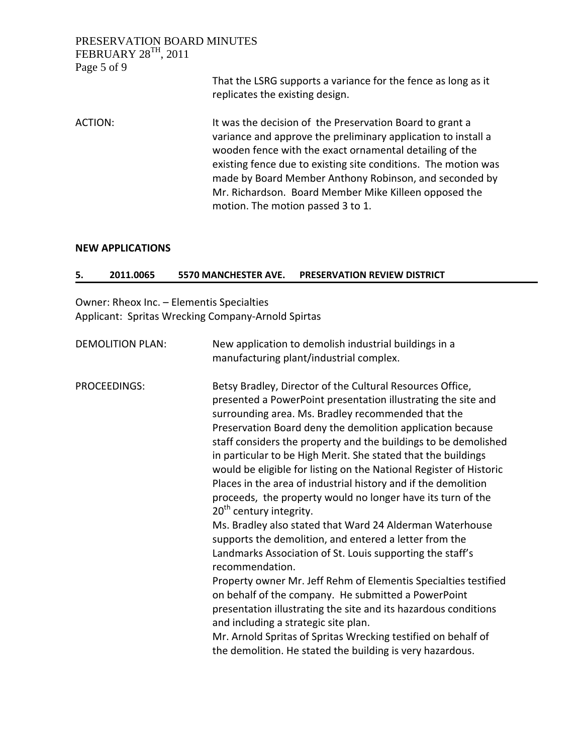### PRESERVATION BOARD MINUTES FEBRUARY  $28^{TH}$ , 2011 Page 5 of 9

# That the LSRG supports a variance for the fence as long as it replicates the existing design.

ACTION: It was the decision of the Preservation Board to grant a variance and approve the preliminary application to install a wooden fence with the exact ornamental detailing of the existing fence due to existing site conditions. The motion was made by Board Member Anthony Robinson, and seconded by Mr. Richardson. Board Member Mike Killeen opposed the motion. The motion passed 3 to 1.

#### **NEW APPLICATIONS**

### **5. 2011.0065 5570 MANCHESTER AVE. PRESERVATION REVIEW DISTRICT**

Owner: Rheox Inc. – Elementis Specialties Applicant: Spritas Wrecking Company‐Arnold Spirtas

| <b>DEMOLITION PLAN:</b> | New application to demolish industrial buildings in a<br>manufacturing plant/industrial complex.                                                                                                                                                                                                                                                                                                                                                                                                                                                                                                                                                                                                                                                                                                                                                                                                                                                                                                                                                                                                                                                                                                          |
|-------------------------|-----------------------------------------------------------------------------------------------------------------------------------------------------------------------------------------------------------------------------------------------------------------------------------------------------------------------------------------------------------------------------------------------------------------------------------------------------------------------------------------------------------------------------------------------------------------------------------------------------------------------------------------------------------------------------------------------------------------------------------------------------------------------------------------------------------------------------------------------------------------------------------------------------------------------------------------------------------------------------------------------------------------------------------------------------------------------------------------------------------------------------------------------------------------------------------------------------------|
| PROCEEDINGS:            | Betsy Bradley, Director of the Cultural Resources Office,<br>presented a PowerPoint presentation illustrating the site and<br>surrounding area. Ms. Bradley recommended that the<br>Preservation Board deny the demolition application because<br>staff considers the property and the buildings to be demolished<br>in particular to be High Merit. She stated that the buildings<br>would be eligible for listing on the National Register of Historic<br>Places in the area of industrial history and if the demolition<br>proceeds, the property would no longer have its turn of the<br>20 <sup>th</sup> century integrity.<br>Ms. Bradley also stated that Ward 24 Alderman Waterhouse<br>supports the demolition, and entered a letter from the<br>Landmarks Association of St. Louis supporting the staff's<br>recommendation.<br>Property owner Mr. Jeff Rehm of Elementis Specialties testified<br>on behalf of the company. He submitted a PowerPoint<br>presentation illustrating the site and its hazardous conditions<br>and including a strategic site plan.<br>Mr. Arnold Spritas of Spritas Wrecking testified on behalf of<br>the demolition. He stated the building is very hazardous. |
|                         |                                                                                                                                                                                                                                                                                                                                                                                                                                                                                                                                                                                                                                                                                                                                                                                                                                                                                                                                                                                                                                                                                                                                                                                                           |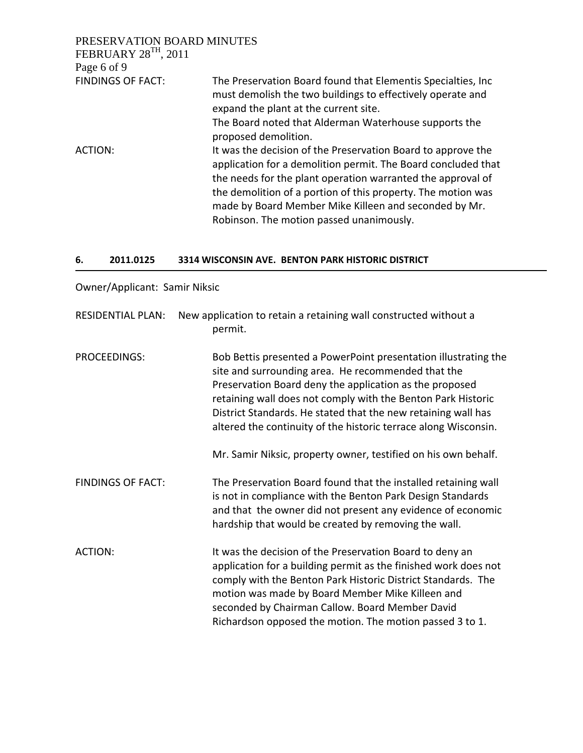| PRESERVATION BOARD MINUTES                                                                                                                                                                                                                                                                                                                                        |
|-------------------------------------------------------------------------------------------------------------------------------------------------------------------------------------------------------------------------------------------------------------------------------------------------------------------------------------------------------------------|
|                                                                                                                                                                                                                                                                                                                                                                   |
|                                                                                                                                                                                                                                                                                                                                                                   |
| The Preservation Board found that Elementis Specialties, Inc.<br>must demolish the two buildings to effectively operate and<br>expand the plant at the current site.                                                                                                                                                                                              |
| The Board noted that Alderman Waterhouse supports the<br>proposed demolition.                                                                                                                                                                                                                                                                                     |
| It was the decision of the Preservation Board to approve the<br>application for a demolition permit. The Board concluded that<br>the needs for the plant operation warranted the approval of<br>the demolition of a portion of this property. The motion was<br>made by Board Member Mike Killeen and seconded by Mr.<br>Robinson. The motion passed unanimously. |
|                                                                                                                                                                                                                                                                                                                                                                   |

#### **6. 2011.0125 3314 WISCONSIN AVE. BENTON PARK HISTORIC DISTRICT**

Owner/Applicant: Samir Niksic

| <b>RESIDENTIAL PLAN:</b> | New application to retain a retaining wall constructed without a<br>permit.                                                                                                                                                                                                                                                                                                          |
|--------------------------|--------------------------------------------------------------------------------------------------------------------------------------------------------------------------------------------------------------------------------------------------------------------------------------------------------------------------------------------------------------------------------------|
| PROCEEDINGS:             | Bob Bettis presented a PowerPoint presentation illustrating the<br>site and surrounding area. He recommended that the<br>Preservation Board deny the application as the proposed<br>retaining wall does not comply with the Benton Park Historic<br>District Standards. He stated that the new retaining wall has<br>altered the continuity of the historic terrace along Wisconsin. |
|                          | Mr. Samir Niksic, property owner, testified on his own behalf.                                                                                                                                                                                                                                                                                                                       |
| <b>FINDINGS OF FACT:</b> | The Preservation Board found that the installed retaining wall<br>is not in compliance with the Benton Park Design Standards<br>and that the owner did not present any evidence of economic<br>hardship that would be created by removing the wall.                                                                                                                                  |
| <b>ACTION:</b>           | It was the decision of the Preservation Board to deny an<br>application for a building permit as the finished work does not<br>comply with the Benton Park Historic District Standards. The<br>motion was made by Board Member Mike Killeen and<br>seconded by Chairman Callow. Board Member David                                                                                   |

Richardson opposed the motion. The motion passed 3 to 1.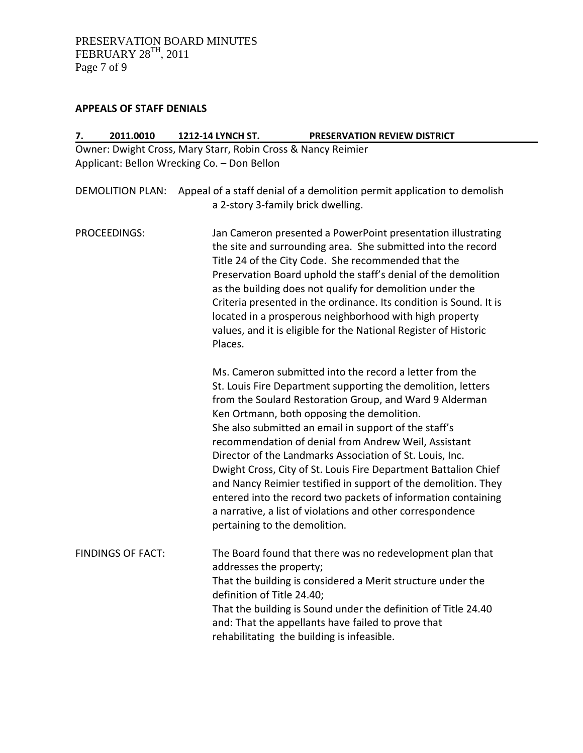# **APPEALS OF STAFF DENIALS**

| 2011.0010<br>7.          | 1212-14 LYNCH ST.                                            | PRESERVATION REVIEW DISTRICT                                                                                                                                                                                                                                                                                                                                                                                                                                                                                                                                                                                                                                                      |
|--------------------------|--------------------------------------------------------------|-----------------------------------------------------------------------------------------------------------------------------------------------------------------------------------------------------------------------------------------------------------------------------------------------------------------------------------------------------------------------------------------------------------------------------------------------------------------------------------------------------------------------------------------------------------------------------------------------------------------------------------------------------------------------------------|
|                          | Owner: Dwight Cross, Mary Starr, Robin Cross & Nancy Reimier |                                                                                                                                                                                                                                                                                                                                                                                                                                                                                                                                                                                                                                                                                   |
|                          | Applicant: Bellon Wrecking Co. - Don Bellon                  |                                                                                                                                                                                                                                                                                                                                                                                                                                                                                                                                                                                                                                                                                   |
| <b>DEMOLITION PLAN:</b>  | a 2-story 3-family brick dwelling.                           | Appeal of a staff denial of a demolition permit application to demolish                                                                                                                                                                                                                                                                                                                                                                                                                                                                                                                                                                                                           |
| PROCEEDINGS:             | Places.                                                      | Jan Cameron presented a PowerPoint presentation illustrating<br>the site and surrounding area. She submitted into the record<br>Title 24 of the City Code. She recommended that the<br>Preservation Board uphold the staff's denial of the demolition<br>as the building does not qualify for demolition under the<br>Criteria presented in the ordinance. Its condition is Sound. It is<br>located in a prosperous neighborhood with high property<br>values, and it is eligible for the National Register of Historic                                                                                                                                                           |
|                          | pertaining to the demolition.                                | Ms. Cameron submitted into the record a letter from the<br>St. Louis Fire Department supporting the demolition, letters<br>from the Soulard Restoration Group, and Ward 9 Alderman<br>Ken Ortmann, both opposing the demolition.<br>She also submitted an email in support of the staff's<br>recommendation of denial from Andrew Weil, Assistant<br>Director of the Landmarks Association of St. Louis, Inc.<br>Dwight Cross, City of St. Louis Fire Department Battalion Chief<br>and Nancy Reimier testified in support of the demolition. They<br>entered into the record two packets of information containing<br>a narrative, a list of violations and other correspondence |
| <b>FINDINGS OF FACT:</b> | addresses the property;<br>definition of Title 24.40;        | The Board found that there was no redevelopment plan that<br>That the building is considered a Merit structure under the<br>That the building is Sound under the definition of Title 24.40<br>and: That the appellants have failed to prove that<br>rehabilitating the building is infeasible.                                                                                                                                                                                                                                                                                                                                                                                    |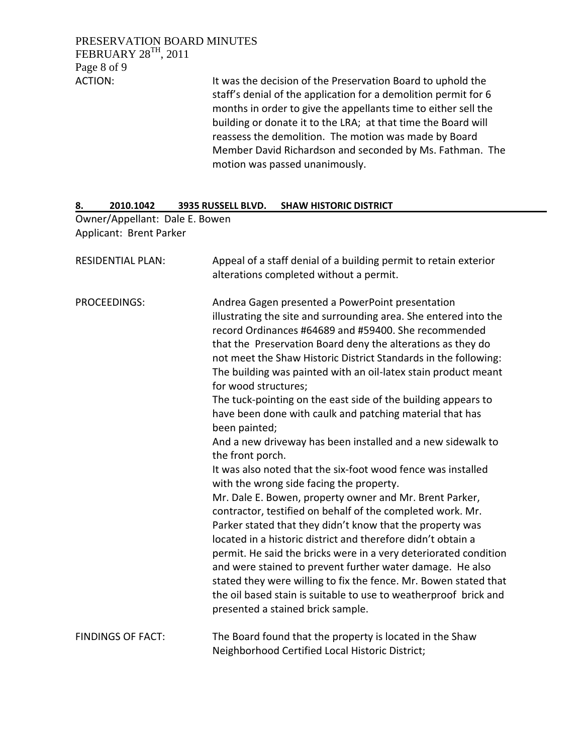PRESERVATION BOARD MINUTES FEBRUARY 28TH, 2011 Page 8 of 9

ACTION: It was the decision of the Preservation Board to uphold the staff's denial of the application for a demolition permit for 6 months in order to give the appellants time to either sell the building or donate it to the LRA; at that time the Board will reassess the demolition. The motion was made by Board Member David Richardson and seconded by Ms. Fathman. The motion was passed unanimously.

#### **8. 2010.1042 3935 RUSSELL BLVD. SHAW HISTORIC DISTRICT**

Owner/Appellant: Dale E. Bowen Applicant: Brent Parker

| <b>RESIDENTIAL PLAN:</b> | Appeal of a staff denial of a building permit to retain exterior<br>alterations completed without a permit.                                                                                                                                                                                                                                                                                                                                                                                                                           |
|--------------------------|---------------------------------------------------------------------------------------------------------------------------------------------------------------------------------------------------------------------------------------------------------------------------------------------------------------------------------------------------------------------------------------------------------------------------------------------------------------------------------------------------------------------------------------|
| PROCEEDINGS:             | Andrea Gagen presented a PowerPoint presentation<br>illustrating the site and surrounding area. She entered into the<br>record Ordinances #64689 and #59400. She recommended<br>that the Preservation Board deny the alterations as they do<br>not meet the Shaw Historic District Standards in the following:<br>The building was painted with an oil-latex stain product meant<br>for wood structures;<br>The tuck-pointing on the east side of the building appears to<br>have been done with caulk and patching material that has |
|                          | been painted;<br>And a new driveway has been installed and a new sidewalk to<br>the front porch.<br>It was also noted that the six-foot wood fence was installed<br>with the wrong side facing the property.<br>Mr. Dale E. Bowen, property owner and Mr. Brent Parker,<br>contractor, testified on behalf of the completed work. Mr.                                                                                                                                                                                                 |
|                          | Parker stated that they didn't know that the property was<br>located in a historic district and therefore didn't obtain a<br>permit. He said the bricks were in a very deteriorated condition<br>and were stained to prevent further water damage. He also<br>stated they were willing to fix the fence. Mr. Bowen stated that<br>the oil based stain is suitable to use to weatherproof brick and<br>presented a stained brick sample.                                                                                               |
| <b>FINDINGS OF FACT:</b> | The Board found that the property is located in the Shaw<br>Neighborhood Certified Local Historic District;                                                                                                                                                                                                                                                                                                                                                                                                                           |